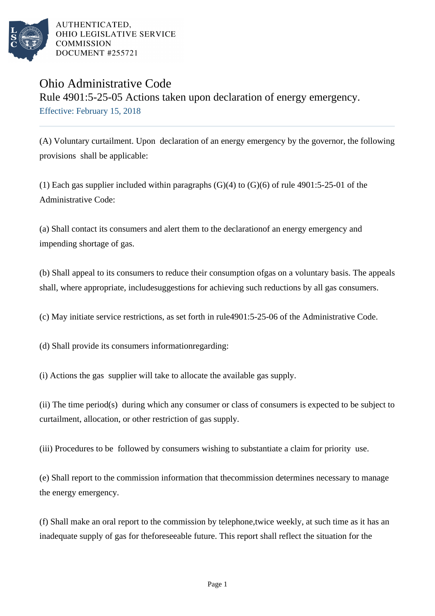

## Ohio Administrative Code

Rule 4901:5-25-05 Actions taken upon declaration of energy emergency. Effective: February 15, 2018

(A) Voluntary curtailment. Upon declaration of an energy emergency by the governor, the following provisions shall be applicable:

(1) Each gas supplier included within paragraphs  $(G)(4)$  to  $(G)(6)$  of rule 4901:5-25-01 of the Administrative Code:

(a) Shall contact its consumers and alert them to the declaration of an energy emergency and impending shortage of gas.

(b) Shall appeal to its consumers to reduce their consumption of gas on a voluntary basis. The appeals shall, where appropriate, include suggestions for achieving such reductions by all gas consumers.

(c) May initiate service restrictions, as set forth in rule 4901:5-25-06 of the Administrative Code.

(d) Shall provide its consumers information regarding:

(i) Actions the gas supplier will take to allocate the available gas supply.

(ii) The time period(s) during which any consumer or class of consumers is expected to be subject to curtailment, allocation, or other restriction of gas supply.

(iii) Procedures to be followed by consumers wishing to substantiate a claim for priority use.

(e) Shall report to the commission information that the commission determines necessary to manage the energy emergency.

(f) Shall make an oral report to the commission by telephone, twice weekly, at such time as it has an inadequate supply of gas for the foreseeable future. This report shall reflect the situation for the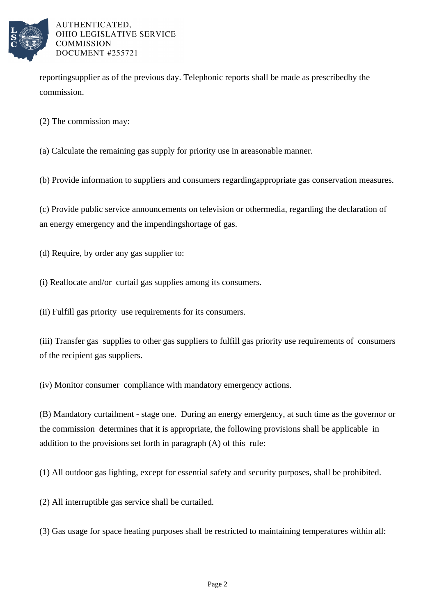

reporting supplier as of the previous day. Telephonic reports shall be made as prescribed by the commission.

(2) The commission may:

(a) Calculate the remaining gas supply for priority use in a reasonable manner.

(b) Provide information to suppliers and consumers regarding appropriate gas conservation measures.

(c) Provide public service announcements on television or other media, regarding the declaration of an energy emergency and the impending shortage of gas.

(d) Require, by order any gas supplier to:

(i) Reallocate and/or curtail gas supplies among its consumers.

(ii) Fulfill gas priority use requirements for its consumers.

(iii) Transfer gas supplies to other gas suppliers to fulfill gas priority use requirements of consumers of the recipient gas suppliers.

(iv) Monitor consumer compliance with mandatory emergency actions.

(B) Mandatory curtailment - stage one. During an energy emergency, at such time as the governor or the commission determines that it is appropriate, the following provisions shall be applicable in addition to the provisions set forth in paragraph (A) of this rule:

(1) All outdoor gas lighting, except for essential safety and security purposes, shall be prohibited.

(2) All interruptible gas service shall be curtailed.

(3) Gas usage for space heating purposes shall be restricted to maintaining temperatures within all: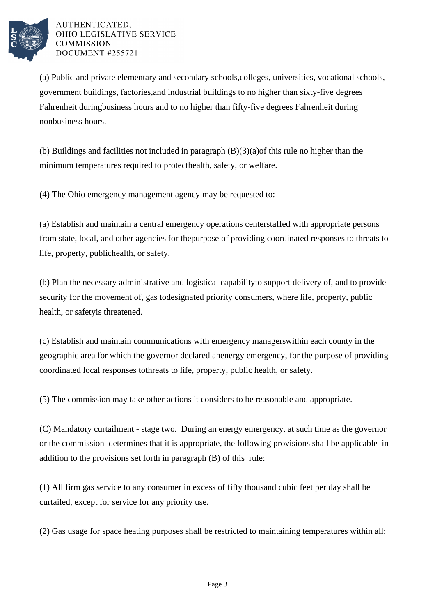

(a) Public and private elementary and secondary schools, colleges, universities, vocational schools, government buildings, factories, and industrial buildings to no higher than sixty-five degrees Fahrenheit during business hours and to no higher than fifty-five degrees Fahrenheit during nonbusiness hours.

(b) Buildings and facilities not included in paragraph  $(B)(3)(a)$  of this rule no higher than the minimum temperatures required to protect health, safety, or welfare.

(4) The Ohio emergency management agency may be requested to:

(a) Establish and maintain a central emergency operations center staffed with appropriate persons from state, local, and other agencies for the purpose of providing coordinated responses to threats to life, property, public health, or safety.

(b) Plan the necessary administrative and logistical capability to support delivery of, and to provide security for the movement of, gas to designated priority consumers, where life, property, public health, or safety is threatened.

(c) Establish and maintain communications with emergency managers within each county in the geographic area for which the governor declared an energy emergency, for the purpose of providing coordinated local responses to threats to life, property, public health, or safety.

(5) The commission may take other actions it considers to be reasonable and appropriate.

(C) Mandatory curtailment - stage two. During an energy emergency, at such time as the governor or the commission determines that it is appropriate, the following provisions shall be applicable in addition to the provisions set forth in paragraph (B) of this rule:

(1) All firm gas service to any consumer in excess of fifty thousand cubic feet per day shall be curtailed, except for service for any priority use.

(2) Gas usage for space heating purposes shall be restricted to maintaining temperatures within all: